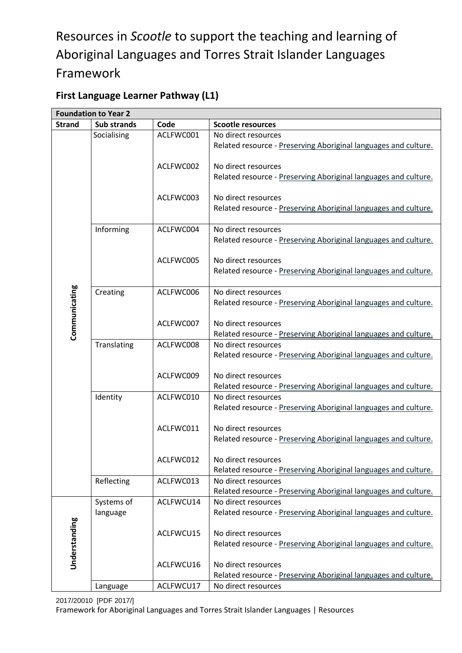# Resources in *Scootle* to support the teaching and learning of Aboriginal Languages and Torres Strait Islander Languages Framework

### **First Language Learner Pathway (L1)**

|               | <b>Foundation to Year 2</b> |           |                                                                 |
|---------------|-----------------------------|-----------|-----------------------------------------------------------------|
| <b>Strand</b> | <b>Sub strands</b>          | Code      | <b>Scootle resources</b>                                        |
|               | Socialising                 | ACLFWC001 | No direct resources                                             |
|               |                             |           | Related resource - Preserving Aboriginal languages and culture. |
|               |                             |           |                                                                 |
|               |                             | ACLFWC002 | No direct resources                                             |
|               |                             |           | Related resource - Preserving Aboriginal languages and culture. |
|               |                             |           |                                                                 |
|               |                             | ACLFWC003 | No direct resources                                             |
|               |                             |           | Related resource - Preserving Aboriginal languages and culture. |
|               |                             |           |                                                                 |
|               | Informing                   | ACLFWC004 | No direct resources                                             |
|               |                             |           | Related resource - Preserving Aboriginal languages and culture. |
|               |                             |           |                                                                 |
|               |                             | ACLFWC005 | No direct resources                                             |
|               |                             |           | Related resource - Preserving Aboriginal languages and culture. |
|               |                             | ACLFWC006 | No direct resources                                             |
|               | Creating                    |           | Related resource - Preserving Aboriginal languages and culture. |
|               |                             |           |                                                                 |
| Communicating |                             | ACLFWC007 | No direct resources                                             |
|               |                             |           | Related resource - Preserving Aboriginal languages and culture. |
|               | Translating                 | ACLFWC008 | No direct resources                                             |
|               |                             |           | Related resource - Preserving Aboriginal languages and culture. |
|               |                             |           |                                                                 |
|               |                             | ACLFWC009 | No direct resources                                             |
|               |                             |           | Related resource - Preserving Aboriginal languages and culture. |
|               | Identity                    | ACLFWC010 | No direct resources                                             |
|               |                             |           | Related resource - Preserving Aboriginal languages and culture. |
|               |                             |           |                                                                 |
|               |                             | ACLFWC011 | No direct resources                                             |
|               |                             |           | Related resource - Preserving Aboriginal languages and culture. |
|               |                             |           |                                                                 |
|               |                             | ACLFWC012 | No direct resources                                             |
|               |                             |           | Related resource - Preserving Aboriginal languages and culture. |
|               | Reflecting                  | ACLFWC013 | No direct resources                                             |
|               |                             |           | Related resource - Preserving Aboriginal languages and culture. |
|               | Systems of                  | ACLFWCU14 | No direct resources                                             |
|               | language                    |           | Related resource - Preserving Aboriginal languages and culture. |
|               |                             |           |                                                                 |
|               |                             | ACLFWCU15 | No direct resources                                             |
| Understanding |                             |           | Related resource - Preserving Aboriginal languages and culture. |
|               |                             |           |                                                                 |
|               |                             | ACLFWCU16 | No direct resources                                             |
|               |                             |           | Related resource - Preserving Aboriginal languages and culture. |
|               | Language                    | ACLFWCU17 | No direct resources                                             |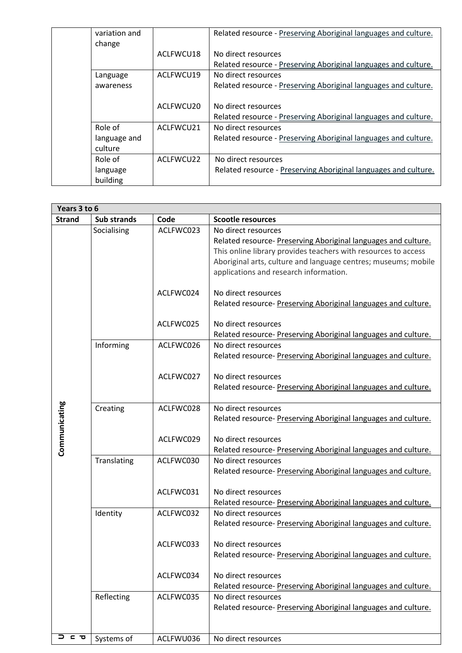| variation and<br>change |           | Related resource - Preserving Aboriginal languages and culture. |
|-------------------------|-----------|-----------------------------------------------------------------|
|                         | ACLFWCU18 | No direct resources                                             |
|                         |           | Related resource - Preserving Aboriginal languages and culture. |
| Language                | ACLFWCU19 | No direct resources                                             |
| awareness               |           | Related resource - Preserving Aboriginal languages and culture. |
|                         |           |                                                                 |
|                         | ACLFWCU20 | No direct resources                                             |
|                         |           | Related resource - Preserving Aboriginal languages and culture. |
| Role of                 | ACLFWCU21 | No direct resources                                             |
| language and            |           | Related resource - Preserving Aboriginal languages and culture. |
| culture                 |           |                                                                 |
| Role of                 | ACLEWCU22 | No direct resources                                             |
| language                |           | Related resource - Preserving Aboriginal languages and culture. |
| building                |           |                                                                 |

| Years 3 to 6  |             |           |                                                                                                                                                                                                                                                                     |  |  |
|---------------|-------------|-----------|---------------------------------------------------------------------------------------------------------------------------------------------------------------------------------------------------------------------------------------------------------------------|--|--|
| <b>Strand</b> | Sub strands | Code      | <b>Scootle resources</b>                                                                                                                                                                                                                                            |  |  |
|               | Socialising | ACLFWC023 | No direct resources<br>Related resource- Preserving Aboriginal languages and culture.<br>This online library provides teachers with resources to access<br>Aboriginal arts, culture and language centres; museums; mobile<br>applications and research information. |  |  |
|               |             | ACLFWC024 | No direct resources<br>Related resource- Preserving Aboriginal languages and culture.                                                                                                                                                                               |  |  |
|               |             | ACLFWC025 | No direct resources<br>Related resource- Preserving Aboriginal languages and culture.                                                                                                                                                                               |  |  |
|               | Informing   | ACLFWC026 | No direct resources<br>Related resource- Preserving Aboriginal languages and culture.                                                                                                                                                                               |  |  |
| Communicating |             | ACLFWC027 | No direct resources<br>Related resource- Preserving Aboriginal languages and culture.                                                                                                                                                                               |  |  |
|               | Creating    | ACLFWC028 | No direct resources<br>Related resource- Preserving Aboriginal languages and culture.                                                                                                                                                                               |  |  |
|               |             | ACLFWC029 | No direct resources<br>Related resource- Preserving Aboriginal languages and culture.                                                                                                                                                                               |  |  |
|               | Translating | ACLFWC030 | No direct resources<br>Related resource- Preserving Aboriginal languages and culture.                                                                                                                                                                               |  |  |
|               |             | ACLFWC031 | No direct resources<br>Related resource- Preserving Aboriginal languages and culture.                                                                                                                                                                               |  |  |
|               | Identity    | ACLFWC032 | No direct resources<br>Related resource- Preserving Aboriginal languages and culture.                                                                                                                                                                               |  |  |
|               |             | ACLFWC033 | No direct resources<br>Related resource- Preserving Aboriginal languages and culture.                                                                                                                                                                               |  |  |
|               |             | ACLFWC034 | No direct resources<br>Related resource- Preserving Aboriginal languages and culture.                                                                                                                                                                               |  |  |
|               | Reflecting  | ACLFWC035 | No direct resources<br>Related resource- Preserving Aboriginal languages and culture.                                                                                                                                                                               |  |  |
| <b>⊃ ㄷ ㅈ</b>  | Systems of  | ACLFWU036 | No direct resources                                                                                                                                                                                                                                                 |  |  |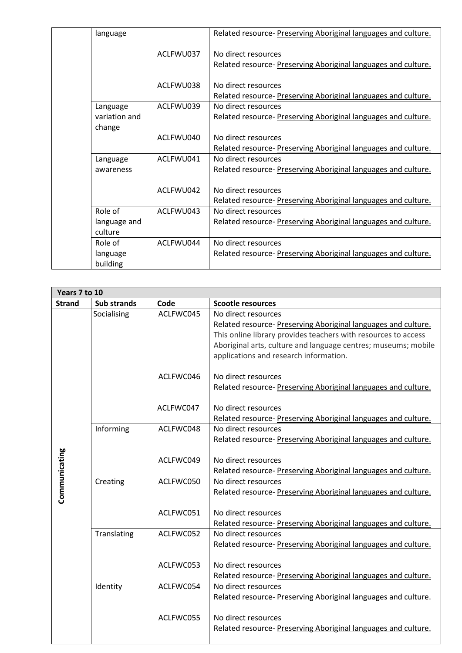| language      |           | Related resource- Preserving Aboriginal languages and culture. |
|---------------|-----------|----------------------------------------------------------------|
|               | ACLEWU037 | No direct resources                                            |
|               |           | Related resource- Preserving Aboriginal languages and culture. |
|               | ACLFWU038 | No direct resources                                            |
|               |           | Related resource- Preserving Aboriginal languages and culture. |
| Language      | ACLEWU039 | No direct resources                                            |
| variation and |           | Related resource- Preserving Aboriginal languages and culture. |
| change        |           |                                                                |
|               | ACLFWU040 | No direct resources                                            |
|               |           | Related resource- Preserving Aboriginal languages and culture. |
| Language      | ACLFWU041 | No direct resources                                            |
| awareness     |           | Related resource- Preserving Aboriginal languages and culture. |
|               |           |                                                                |
|               | ACLFWU042 | No direct resources                                            |
|               |           | Related resource- Preserving Aboriginal languages and culture. |
| Role of       | ACLFWU043 | No direct resources                                            |
| language and  |           | Related resource- Preserving Aboriginal languages and culture. |
| culture       |           |                                                                |
| Role of       | ACLFWU044 | No direct resources                                            |
| language      |           | Related resource- Preserving Aboriginal languages and culture. |
| building      |           |                                                                |

|               | Years 7 to 10 |           |                                                                |  |  |
|---------------|---------------|-----------|----------------------------------------------------------------|--|--|
| <b>Strand</b> | Sub strands   | Code      | <b>Scootle resources</b>                                       |  |  |
|               | Socialising   | ACLFWC045 | No direct resources                                            |  |  |
|               |               |           | Related resource- Preserving Aboriginal languages and culture. |  |  |
|               |               |           | This online library provides teachers with resources to access |  |  |
|               |               |           | Aboriginal arts, culture and language centres; museums; mobile |  |  |
|               |               |           | applications and research information.                         |  |  |
|               |               | ACLFWC046 | No direct resources                                            |  |  |
|               |               |           | Related resource- Preserving Aboriginal languages and culture. |  |  |
|               |               |           |                                                                |  |  |
|               |               | ACLFWC047 | No direct resources                                            |  |  |
|               |               |           | Related resource- Preserving Aboriginal languages and culture. |  |  |
|               | Informing     | ACLFWC048 | No direct resources                                            |  |  |
| Communicating |               |           | Related resource- Preserving Aboriginal languages and culture. |  |  |
|               |               | ACLFWC049 | No direct resources                                            |  |  |
|               |               |           | Related resource- Preserving Aboriginal languages and culture. |  |  |
|               | Creating      | ACLFWC050 | No direct resources                                            |  |  |
|               |               |           | Related resource- Preserving Aboriginal languages and culture. |  |  |
|               |               |           |                                                                |  |  |
|               |               | ACLFWC051 | No direct resources                                            |  |  |
|               |               |           | Related resource-Preserving Aboriginal languages and culture.  |  |  |
|               | Translating   | ACLFWC052 | No direct resources                                            |  |  |
|               |               |           | Related resource- Preserving Aboriginal languages and culture. |  |  |
|               |               | ACLFWC053 | No direct resources                                            |  |  |
|               |               |           | Related resource- Preserving Aboriginal languages and culture. |  |  |
|               | Identity      | ACLFWC054 | No direct resources                                            |  |  |
|               |               |           | Related resource- Preserving Aboriginal languages and culture. |  |  |
|               |               | ACLFWC055 | No direct resources                                            |  |  |
|               |               |           | Related resource- Preserving Aboriginal languages and culture. |  |  |
|               |               |           |                                                                |  |  |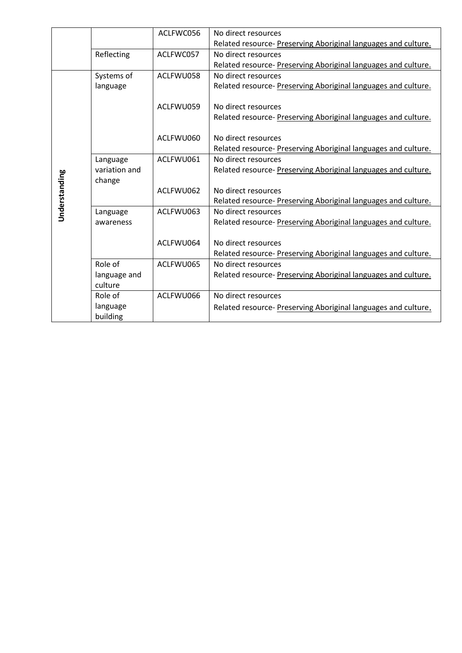|               |               | ACLFWC056 | No direct resources                                            |
|---------------|---------------|-----------|----------------------------------------------------------------|
|               |               |           | Related resource- Preserving Aboriginal languages and culture. |
|               | Reflecting    | ACLFWC057 | No direct resources                                            |
|               |               |           | Related resource- Preserving Aboriginal languages and culture. |
|               | Systems of    | ACLFWU058 | No direct resources                                            |
|               | language      |           | Related resource- Preserving Aboriginal languages and culture. |
|               |               |           |                                                                |
|               |               | ACLFWU059 | No direct resources                                            |
|               |               |           | Related resource- Preserving Aboriginal languages and culture. |
|               |               |           |                                                                |
|               |               | ACLFWU060 | No direct resources                                            |
|               |               |           | Related resource- Preserving Aboriginal languages and culture. |
|               | Language      | ACLFWU061 | No direct resources                                            |
|               | variation and |           | Related resource- Preserving Aboriginal languages and culture. |
|               | change        |           |                                                                |
|               |               | ACLFWU062 | No direct resources                                            |
| Understanding |               |           | Related resource- Preserving Aboriginal languages and culture. |
|               | Language      | ACLFWU063 | No direct resources                                            |
|               | awareness     |           | Related resource- Preserving Aboriginal languages and culture. |
|               |               |           |                                                                |
|               |               | ACLFWU064 | No direct resources                                            |
|               |               |           | Related resource- Preserving Aboriginal languages and culture. |
|               | Role of       | ACLFWU065 | No direct resources                                            |
|               | language and  |           | Related resource- Preserving Aboriginal languages and culture. |
|               | culture       |           |                                                                |
|               | Role of       | ACLFWU066 | No direct resources                                            |
|               | language      |           | Related resource- Preserving Aboriginal languages and culture. |
|               | building      |           |                                                                |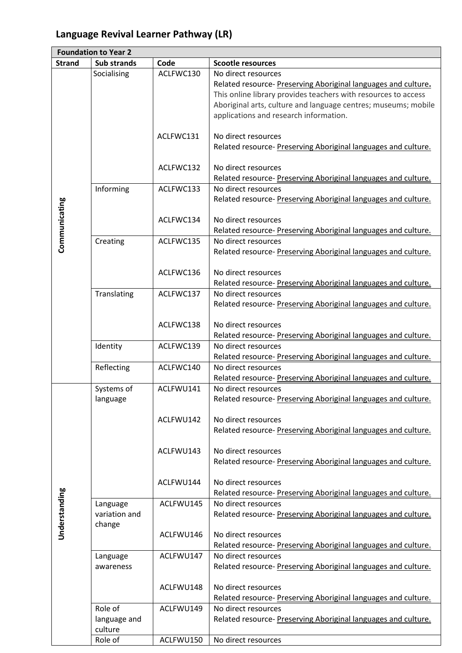# **Language Revival Learner Pathway (LR)**

| <b>Strand</b><br><b>Sub strands</b><br>Code<br><b>Scootle resources</b><br>Socialising<br>ACLFWC130<br>No direct resources<br>This online library provides teachers with resources to access<br>Aboriginal arts, culture and language centres; museums; mobile<br>applications and research information.<br>ACLFWC131<br>No direct resources<br>Related resource- Preserving Aboriginal languages and culture.<br>ACLFWC132<br>No direct resources<br>Related resource- Preserving Aboriginal languages and culture.<br>Informing<br>ACLFWC133<br>No direct resources<br>Related resource- Preserving Aboriginal languages and culture.<br>Communicating<br>ACLFWC134<br>No direct resources<br>Related resource- Preserving Aboriginal languages and culture.<br>ACLFWC135<br>Creating<br>No direct resources<br>Related resource- Preserving Aboriginal languages and culture.<br>ACLFWC136<br>No direct resources<br>Related resource- Preserving Aboriginal languages and culture.<br>Translating<br>ACLFWC137<br>No direct resources<br>Related resource- Preserving Aboriginal languages and culture.<br>ACLFWC138<br>No direct resources<br>Related resource-Preserving Aboriginal languages and culture.<br>ACLFWC139<br>Identity<br>No direct resources<br>Related resource-Preserving Aboriginal languages and culture.<br>Reflecting<br>No direct resources<br>ACLFWC140<br>Related resource-Preserving Aboriginal languages and culture.<br>Systems of<br>ACLFWU141<br>No direct resources<br>Related resource- Preserving Aboriginal languages and culture.<br>language |  | <b>Foundation to Year 2</b> |                                                                |
|--------------------------------------------------------------------------------------------------------------------------------------------------------------------------------------------------------------------------------------------------------------------------------------------------------------------------------------------------------------------------------------------------------------------------------------------------------------------------------------------------------------------------------------------------------------------------------------------------------------------------------------------------------------------------------------------------------------------------------------------------------------------------------------------------------------------------------------------------------------------------------------------------------------------------------------------------------------------------------------------------------------------------------------------------------------------------------------------------------------------------------------------------------------------------------------------------------------------------------------------------------------------------------------------------------------------------------------------------------------------------------------------------------------------------------------------------------------------------------------------------------------------------------------------------------------------------------------|--|-----------------------------|----------------------------------------------------------------|
|                                                                                                                                                                                                                                                                                                                                                                                                                                                                                                                                                                                                                                                                                                                                                                                                                                                                                                                                                                                                                                                                                                                                                                                                                                                                                                                                                                                                                                                                                                                                                                                      |  |                             |                                                                |
|                                                                                                                                                                                                                                                                                                                                                                                                                                                                                                                                                                                                                                                                                                                                                                                                                                                                                                                                                                                                                                                                                                                                                                                                                                                                                                                                                                                                                                                                                                                                                                                      |  |                             |                                                                |
|                                                                                                                                                                                                                                                                                                                                                                                                                                                                                                                                                                                                                                                                                                                                                                                                                                                                                                                                                                                                                                                                                                                                                                                                                                                                                                                                                                                                                                                                                                                                                                                      |  |                             | Related resource- Preserving Aboriginal languages and culture. |
|                                                                                                                                                                                                                                                                                                                                                                                                                                                                                                                                                                                                                                                                                                                                                                                                                                                                                                                                                                                                                                                                                                                                                                                                                                                                                                                                                                                                                                                                                                                                                                                      |  |                             |                                                                |
|                                                                                                                                                                                                                                                                                                                                                                                                                                                                                                                                                                                                                                                                                                                                                                                                                                                                                                                                                                                                                                                                                                                                                                                                                                                                                                                                                                                                                                                                                                                                                                                      |  |                             |                                                                |
|                                                                                                                                                                                                                                                                                                                                                                                                                                                                                                                                                                                                                                                                                                                                                                                                                                                                                                                                                                                                                                                                                                                                                                                                                                                                                                                                                                                                                                                                                                                                                                                      |  |                             |                                                                |
|                                                                                                                                                                                                                                                                                                                                                                                                                                                                                                                                                                                                                                                                                                                                                                                                                                                                                                                                                                                                                                                                                                                                                                                                                                                                                                                                                                                                                                                                                                                                                                                      |  |                             |                                                                |
|                                                                                                                                                                                                                                                                                                                                                                                                                                                                                                                                                                                                                                                                                                                                                                                                                                                                                                                                                                                                                                                                                                                                                                                                                                                                                                                                                                                                                                                                                                                                                                                      |  |                             |                                                                |
|                                                                                                                                                                                                                                                                                                                                                                                                                                                                                                                                                                                                                                                                                                                                                                                                                                                                                                                                                                                                                                                                                                                                                                                                                                                                                                                                                                                                                                                                                                                                                                                      |  |                             |                                                                |
|                                                                                                                                                                                                                                                                                                                                                                                                                                                                                                                                                                                                                                                                                                                                                                                                                                                                                                                                                                                                                                                                                                                                                                                                                                                                                                                                                                                                                                                                                                                                                                                      |  |                             |                                                                |
|                                                                                                                                                                                                                                                                                                                                                                                                                                                                                                                                                                                                                                                                                                                                                                                                                                                                                                                                                                                                                                                                                                                                                                                                                                                                                                                                                                                                                                                                                                                                                                                      |  |                             |                                                                |
|                                                                                                                                                                                                                                                                                                                                                                                                                                                                                                                                                                                                                                                                                                                                                                                                                                                                                                                                                                                                                                                                                                                                                                                                                                                                                                                                                                                                                                                                                                                                                                                      |  |                             |                                                                |
|                                                                                                                                                                                                                                                                                                                                                                                                                                                                                                                                                                                                                                                                                                                                                                                                                                                                                                                                                                                                                                                                                                                                                                                                                                                                                                                                                                                                                                                                                                                                                                                      |  |                             |                                                                |
|                                                                                                                                                                                                                                                                                                                                                                                                                                                                                                                                                                                                                                                                                                                                                                                                                                                                                                                                                                                                                                                                                                                                                                                                                                                                                                                                                                                                                                                                                                                                                                                      |  |                             |                                                                |
|                                                                                                                                                                                                                                                                                                                                                                                                                                                                                                                                                                                                                                                                                                                                                                                                                                                                                                                                                                                                                                                                                                                                                                                                                                                                                                                                                                                                                                                                                                                                                                                      |  |                             |                                                                |
|                                                                                                                                                                                                                                                                                                                                                                                                                                                                                                                                                                                                                                                                                                                                                                                                                                                                                                                                                                                                                                                                                                                                                                                                                                                                                                                                                                                                                                                                                                                                                                                      |  |                             |                                                                |
|                                                                                                                                                                                                                                                                                                                                                                                                                                                                                                                                                                                                                                                                                                                                                                                                                                                                                                                                                                                                                                                                                                                                                                                                                                                                                                                                                                                                                                                                                                                                                                                      |  |                             |                                                                |
|                                                                                                                                                                                                                                                                                                                                                                                                                                                                                                                                                                                                                                                                                                                                                                                                                                                                                                                                                                                                                                                                                                                                                                                                                                                                                                                                                                                                                                                                                                                                                                                      |  |                             |                                                                |
|                                                                                                                                                                                                                                                                                                                                                                                                                                                                                                                                                                                                                                                                                                                                                                                                                                                                                                                                                                                                                                                                                                                                                                                                                                                                                                                                                                                                                                                                                                                                                                                      |  |                             |                                                                |
|                                                                                                                                                                                                                                                                                                                                                                                                                                                                                                                                                                                                                                                                                                                                                                                                                                                                                                                                                                                                                                                                                                                                                                                                                                                                                                                                                                                                                                                                                                                                                                                      |  |                             |                                                                |
|                                                                                                                                                                                                                                                                                                                                                                                                                                                                                                                                                                                                                                                                                                                                                                                                                                                                                                                                                                                                                                                                                                                                                                                                                                                                                                                                                                                                                                                                                                                                                                                      |  |                             |                                                                |
|                                                                                                                                                                                                                                                                                                                                                                                                                                                                                                                                                                                                                                                                                                                                                                                                                                                                                                                                                                                                                                                                                                                                                                                                                                                                                                                                                                                                                                                                                                                                                                                      |  |                             |                                                                |
|                                                                                                                                                                                                                                                                                                                                                                                                                                                                                                                                                                                                                                                                                                                                                                                                                                                                                                                                                                                                                                                                                                                                                                                                                                                                                                                                                                                                                                                                                                                                                                                      |  |                             |                                                                |
|                                                                                                                                                                                                                                                                                                                                                                                                                                                                                                                                                                                                                                                                                                                                                                                                                                                                                                                                                                                                                                                                                                                                                                                                                                                                                                                                                                                                                                                                                                                                                                                      |  |                             |                                                                |
|                                                                                                                                                                                                                                                                                                                                                                                                                                                                                                                                                                                                                                                                                                                                                                                                                                                                                                                                                                                                                                                                                                                                                                                                                                                                                                                                                                                                                                                                                                                                                                                      |  |                             |                                                                |
|                                                                                                                                                                                                                                                                                                                                                                                                                                                                                                                                                                                                                                                                                                                                                                                                                                                                                                                                                                                                                                                                                                                                                                                                                                                                                                                                                                                                                                                                                                                                                                                      |  |                             |                                                                |
|                                                                                                                                                                                                                                                                                                                                                                                                                                                                                                                                                                                                                                                                                                                                                                                                                                                                                                                                                                                                                                                                                                                                                                                                                                                                                                                                                                                                                                                                                                                                                                                      |  |                             |                                                                |
|                                                                                                                                                                                                                                                                                                                                                                                                                                                                                                                                                                                                                                                                                                                                                                                                                                                                                                                                                                                                                                                                                                                                                                                                                                                                                                                                                                                                                                                                                                                                                                                      |  |                             |                                                                |
|                                                                                                                                                                                                                                                                                                                                                                                                                                                                                                                                                                                                                                                                                                                                                                                                                                                                                                                                                                                                                                                                                                                                                                                                                                                                                                                                                                                                                                                                                                                                                                                      |  |                             |                                                                |
|                                                                                                                                                                                                                                                                                                                                                                                                                                                                                                                                                                                                                                                                                                                                                                                                                                                                                                                                                                                                                                                                                                                                                                                                                                                                                                                                                                                                                                                                                                                                                                                      |  |                             |                                                                |
|                                                                                                                                                                                                                                                                                                                                                                                                                                                                                                                                                                                                                                                                                                                                                                                                                                                                                                                                                                                                                                                                                                                                                                                                                                                                                                                                                                                                                                                                                                                                                                                      |  |                             |                                                                |
|                                                                                                                                                                                                                                                                                                                                                                                                                                                                                                                                                                                                                                                                                                                                                                                                                                                                                                                                                                                                                                                                                                                                                                                                                                                                                                                                                                                                                                                                                                                                                                                      |  |                             |                                                                |
|                                                                                                                                                                                                                                                                                                                                                                                                                                                                                                                                                                                                                                                                                                                                                                                                                                                                                                                                                                                                                                                                                                                                                                                                                                                                                                                                                                                                                                                                                                                                                                                      |  |                             |                                                                |
|                                                                                                                                                                                                                                                                                                                                                                                                                                                                                                                                                                                                                                                                                                                                                                                                                                                                                                                                                                                                                                                                                                                                                                                                                                                                                                                                                                                                                                                                                                                                                                                      |  |                             |                                                                |
|                                                                                                                                                                                                                                                                                                                                                                                                                                                                                                                                                                                                                                                                                                                                                                                                                                                                                                                                                                                                                                                                                                                                                                                                                                                                                                                                                                                                                                                                                                                                                                                      |  |                             |                                                                |
| ACLFWU142<br>No direct resources                                                                                                                                                                                                                                                                                                                                                                                                                                                                                                                                                                                                                                                                                                                                                                                                                                                                                                                                                                                                                                                                                                                                                                                                                                                                                                                                                                                                                                                                                                                                                     |  |                             |                                                                |
|                                                                                                                                                                                                                                                                                                                                                                                                                                                                                                                                                                                                                                                                                                                                                                                                                                                                                                                                                                                                                                                                                                                                                                                                                                                                                                                                                                                                                                                                                                                                                                                      |  |                             | Related resource- Preserving Aboriginal languages and culture. |
|                                                                                                                                                                                                                                                                                                                                                                                                                                                                                                                                                                                                                                                                                                                                                                                                                                                                                                                                                                                                                                                                                                                                                                                                                                                                                                                                                                                                                                                                                                                                                                                      |  |                             |                                                                |
| ACLFWU143<br>No direct resources                                                                                                                                                                                                                                                                                                                                                                                                                                                                                                                                                                                                                                                                                                                                                                                                                                                                                                                                                                                                                                                                                                                                                                                                                                                                                                                                                                                                                                                                                                                                                     |  |                             |                                                                |
|                                                                                                                                                                                                                                                                                                                                                                                                                                                                                                                                                                                                                                                                                                                                                                                                                                                                                                                                                                                                                                                                                                                                                                                                                                                                                                                                                                                                                                                                                                                                                                                      |  |                             | Related resource- Preserving Aboriginal languages and culture. |
|                                                                                                                                                                                                                                                                                                                                                                                                                                                                                                                                                                                                                                                                                                                                                                                                                                                                                                                                                                                                                                                                                                                                                                                                                                                                                                                                                                                                                                                                                                                                                                                      |  |                             |                                                                |
| ACLFWU144<br>No direct resources                                                                                                                                                                                                                                                                                                                                                                                                                                                                                                                                                                                                                                                                                                                                                                                                                                                                                                                                                                                                                                                                                                                                                                                                                                                                                                                                                                                                                                                                                                                                                     |  |                             |                                                                |
| Understanding<br>Related resource- Preserving Aboriginal languages and culture.                                                                                                                                                                                                                                                                                                                                                                                                                                                                                                                                                                                                                                                                                                                                                                                                                                                                                                                                                                                                                                                                                                                                                                                                                                                                                                                                                                                                                                                                                                      |  |                             |                                                                |
| ACLFWU145<br>No direct resources<br>Language                                                                                                                                                                                                                                                                                                                                                                                                                                                                                                                                                                                                                                                                                                                                                                                                                                                                                                                                                                                                                                                                                                                                                                                                                                                                                                                                                                                                                                                                                                                                         |  |                             |                                                                |
| variation and                                                                                                                                                                                                                                                                                                                                                                                                                                                                                                                                                                                                                                                                                                                                                                                                                                                                                                                                                                                                                                                                                                                                                                                                                                                                                                                                                                                                                                                                                                                                                                        |  |                             | Related resource- Preserving Aboriginal languages and culture. |
| change                                                                                                                                                                                                                                                                                                                                                                                                                                                                                                                                                                                                                                                                                                                                                                                                                                                                                                                                                                                                                                                                                                                                                                                                                                                                                                                                                                                                                                                                                                                                                                               |  |                             |                                                                |
| ACLFWU146<br>No direct resources                                                                                                                                                                                                                                                                                                                                                                                                                                                                                                                                                                                                                                                                                                                                                                                                                                                                                                                                                                                                                                                                                                                                                                                                                                                                                                                                                                                                                                                                                                                                                     |  |                             |                                                                |
| Related resource-Preserving Aboriginal languages and culture.                                                                                                                                                                                                                                                                                                                                                                                                                                                                                                                                                                                                                                                                                                                                                                                                                                                                                                                                                                                                                                                                                                                                                                                                                                                                                                                                                                                                                                                                                                                        |  |                             |                                                                |
| ACLFWU147<br>No direct resources<br>Language                                                                                                                                                                                                                                                                                                                                                                                                                                                                                                                                                                                                                                                                                                                                                                                                                                                                                                                                                                                                                                                                                                                                                                                                                                                                                                                                                                                                                                                                                                                                         |  |                             |                                                                |
| awareness                                                                                                                                                                                                                                                                                                                                                                                                                                                                                                                                                                                                                                                                                                                                                                                                                                                                                                                                                                                                                                                                                                                                                                                                                                                                                                                                                                                                                                                                                                                                                                            |  |                             | Related resource- Preserving Aboriginal languages and culture. |
|                                                                                                                                                                                                                                                                                                                                                                                                                                                                                                                                                                                                                                                                                                                                                                                                                                                                                                                                                                                                                                                                                                                                                                                                                                                                                                                                                                                                                                                                                                                                                                                      |  |                             |                                                                |
| ACLFWU148<br>No direct resources                                                                                                                                                                                                                                                                                                                                                                                                                                                                                                                                                                                                                                                                                                                                                                                                                                                                                                                                                                                                                                                                                                                                                                                                                                                                                                                                                                                                                                                                                                                                                     |  |                             |                                                                |
| Related resource-Preserving Aboriginal languages and culture.                                                                                                                                                                                                                                                                                                                                                                                                                                                                                                                                                                                                                                                                                                                                                                                                                                                                                                                                                                                                                                                                                                                                                                                                                                                                                                                                                                                                                                                                                                                        |  |                             |                                                                |
| Role of<br>ACLFWU149<br>No direct resources                                                                                                                                                                                                                                                                                                                                                                                                                                                                                                                                                                                                                                                                                                                                                                                                                                                                                                                                                                                                                                                                                                                                                                                                                                                                                                                                                                                                                                                                                                                                          |  |                             |                                                                |
| language and                                                                                                                                                                                                                                                                                                                                                                                                                                                                                                                                                                                                                                                                                                                                                                                                                                                                                                                                                                                                                                                                                                                                                                                                                                                                                                                                                                                                                                                                                                                                                                         |  |                             | Related resource- Preserving Aboriginal languages and culture. |
| culture                                                                                                                                                                                                                                                                                                                                                                                                                                                                                                                                                                                                                                                                                                                                                                                                                                                                                                                                                                                                                                                                                                                                                                                                                                                                                                                                                                                                                                                                                                                                                                              |  |                             |                                                                |
| Role of<br>ACLFWU150<br>No direct resources                                                                                                                                                                                                                                                                                                                                                                                                                                                                                                                                                                                                                                                                                                                                                                                                                                                                                                                                                                                                                                                                                                                                                                                                                                                                                                                                                                                                                                                                                                                                          |  |                             |                                                                |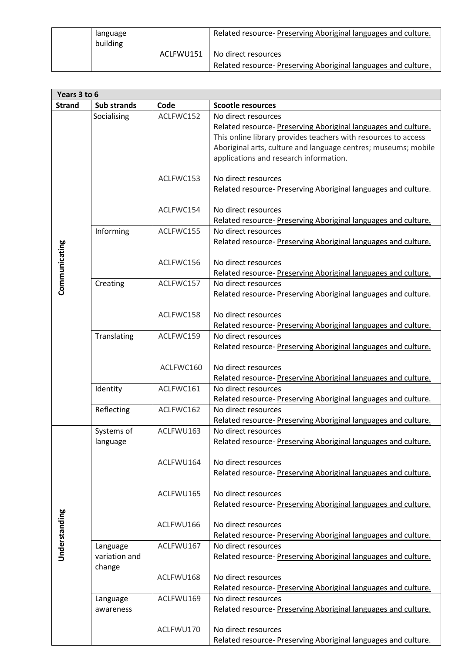| language<br>building |           | Related resource- Preserving Aboriginal languages and culture. |
|----------------------|-----------|----------------------------------------------------------------|
|                      | ACLFWU151 | No direct resources                                            |
|                      |           | Related resource- Preserving Aboriginal languages and culture. |

| Years 3 to 6  |                                     |           |                                                                                                                                                                                                                                                                     |
|---------------|-------------------------------------|-----------|---------------------------------------------------------------------------------------------------------------------------------------------------------------------------------------------------------------------------------------------------------------------|
| <b>Strand</b> | Sub strands                         | Code      | <b>Scootle resources</b>                                                                                                                                                                                                                                            |
|               | Socialising                         | ACLFWC152 | No direct resources<br>Related resource- Preserving Aboriginal languages and culture.<br>This online library provides teachers with resources to access<br>Aboriginal arts, culture and language centres; museums; mobile<br>applications and research information. |
|               |                                     | ACLFWC153 | No direct resources<br>Related resource- Preserving Aboriginal languages and culture.                                                                                                                                                                               |
|               |                                     | ACLFWC154 | No direct resources<br>Related resource- Preserving Aboriginal languages and culture.                                                                                                                                                                               |
|               | Informing                           | ACLFWC155 | No direct resources<br>Related resource- Preserving Aboriginal languages and culture.                                                                                                                                                                               |
| Communicating |                                     | ACLFWC156 | No direct resources<br>Related resource- Preserving Aboriginal languages and culture.                                                                                                                                                                               |
|               | Creating                            | ACLFWC157 | No direct resources<br>Related resource- Preserving Aboriginal languages and culture.                                                                                                                                                                               |
|               |                                     | ACLFWC158 | No direct resources<br>Related resource- Preserving Aboriginal languages and culture.                                                                                                                                                                               |
|               | Translating                         | ACLFWC159 | No direct resources<br>Related resource- Preserving Aboriginal languages and culture.                                                                                                                                                                               |
|               |                                     | ACLFWC160 | No direct resources<br>Related resource- Preserving Aboriginal languages and culture.                                                                                                                                                                               |
|               | Identity                            | ACLFWC161 | No direct resources<br>Related resource- Preserving Aboriginal languages and culture.                                                                                                                                                                               |
|               | Reflecting                          | ACLFWC162 | No direct resources<br>Related resource- Preserving Aboriginal languages and culture.                                                                                                                                                                               |
| Understanding | Systems of<br>language              | ACLFWU163 | No direct resources<br>Related resource- Preserving Aboriginal languages and culture.                                                                                                                                                                               |
|               |                                     | ACLFWU164 | No direct resources<br>Related resource- Preserving Aboriginal languages and culture.                                                                                                                                                                               |
|               |                                     | ACLFWU165 | No direct resources<br>Related resource- Preserving Aboriginal languages and culture.                                                                                                                                                                               |
|               |                                     | ACLFWU166 | No direct resources<br>Related resource- Preserving Aboriginal languages and culture.                                                                                                                                                                               |
|               | Language<br>variation and<br>change | ACLFWU167 | No direct resources<br>Related resource- Preserving Aboriginal languages and culture.                                                                                                                                                                               |
|               |                                     | ACLFWU168 | No direct resources<br>Related resource- Preserving Aboriginal languages and culture.                                                                                                                                                                               |
|               | Language<br>awareness               | ACLFWU169 | No direct resources<br>Related resource- Preserving Aboriginal languages and culture.                                                                                                                                                                               |
|               |                                     | ACLFWU170 | No direct resources<br>Related resource- Preserving Aboriginal languages and culture.                                                                                                                                                                               |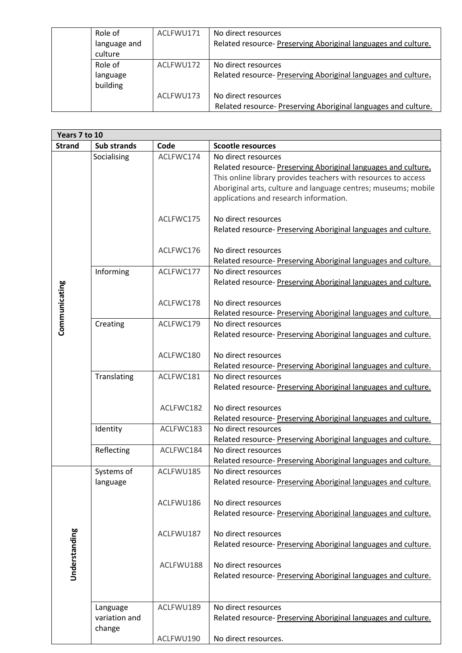| Role of      | ACLFWU171 | No direct resources                                            |
|--------------|-----------|----------------------------------------------------------------|
| language and |           | Related resource- Preserving Aboriginal languages and culture. |
| culture      |           |                                                                |
| Role of      | ACLFWU172 | No direct resources                                            |
| language     |           | Related resource- Preserving Aboriginal languages and culture. |
| building     |           |                                                                |
|              | ACLFWU173 | No direct resources                                            |
|              |           | Related resource- Preserving Aboriginal languages and culture. |

| Years 7 to 10 |                    |           |                                                                |  |  |
|---------------|--------------------|-----------|----------------------------------------------------------------|--|--|
| <b>Strand</b> | <b>Sub strands</b> | Code      | <b>Scootle resources</b>                                       |  |  |
|               | Socialising        | ACLFWC174 | No direct resources                                            |  |  |
|               |                    |           | Related resource- Preserving Aboriginal languages and culture. |  |  |
|               |                    |           | This online library provides teachers with resources to access |  |  |
|               |                    |           | Aboriginal arts, culture and language centres; museums; mobile |  |  |
|               |                    |           | applications and research information.                         |  |  |
|               |                    |           |                                                                |  |  |
|               |                    | ACLFWC175 | No direct resources                                            |  |  |
|               |                    |           | Related resource- Preserving Aboriginal languages and culture. |  |  |
|               |                    | ACLFWC176 | No direct resources                                            |  |  |
|               |                    |           | Related resource- Preserving Aboriginal languages and culture. |  |  |
|               | Informing          | ACLFWC177 | No direct resources                                            |  |  |
|               |                    |           | Related resource- Preserving Aboriginal languages and culture. |  |  |
|               |                    |           |                                                                |  |  |
|               |                    | ACLFWC178 | No direct resources                                            |  |  |
| Communicating |                    |           | Related resource- Preserving Aboriginal languages and culture. |  |  |
|               | Creating           | ACLFWC179 | No direct resources                                            |  |  |
|               |                    |           | Related resource- Preserving Aboriginal languages and culture. |  |  |
|               |                    |           |                                                                |  |  |
|               |                    | ACLFWC180 | No direct resources                                            |  |  |
|               |                    |           | Related resource- Preserving Aboriginal languages and culture. |  |  |
|               | Translating        | ACLFWC181 | No direct resources                                            |  |  |
|               |                    |           | Related resource- Preserving Aboriginal languages and culture. |  |  |
|               |                    | ACLFWC182 | No direct resources                                            |  |  |
|               |                    |           | Related resource- Preserving Aboriginal languages and culture. |  |  |
|               | Identity           | ACLFWC183 | No direct resources                                            |  |  |
|               |                    |           | Related resource- Preserving Aboriginal languages and culture. |  |  |
|               | Reflecting         | ACLFWC184 | No direct resources                                            |  |  |
|               |                    |           | Related resource- Preserving Aboriginal languages and culture. |  |  |
|               | Systems of         | ACLFWU185 | No direct resources                                            |  |  |
|               | language           |           | Related resource- Preserving Aboriginal languages and culture. |  |  |
|               |                    |           |                                                                |  |  |
|               |                    | ACLFWU186 | No direct resources                                            |  |  |
|               |                    |           | Related resource- Preserving Aboriginal languages and culture. |  |  |
|               |                    |           |                                                                |  |  |
|               |                    | ACLFWU187 | No direct resources                                            |  |  |
|               |                    |           | Related resource- Preserving Aboriginal languages and culture. |  |  |
| Understanding |                    | ACLFWU188 | No direct resources                                            |  |  |
|               |                    |           | Related resource- Preserving Aboriginal languages and culture. |  |  |
|               |                    |           |                                                                |  |  |
|               |                    |           |                                                                |  |  |
|               | Language           | ACLFWU189 | No direct resources                                            |  |  |
|               | variation and      |           | Related resource- Preserving Aboriginal languages and culture. |  |  |
|               | change             |           |                                                                |  |  |
|               |                    | ACLFWU190 | No direct resources.                                           |  |  |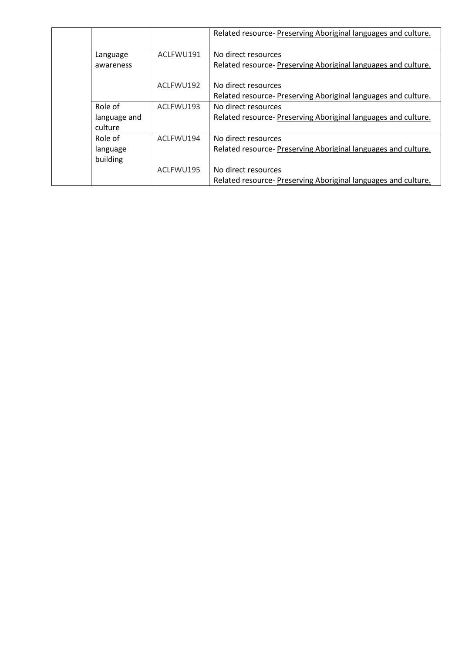|  |              |           | Related resource- Preserving Aboriginal languages and culture. |
|--|--------------|-----------|----------------------------------------------------------------|
|  | Language     | ACLFWU191 | No direct resources                                            |
|  | awareness    |           | Related resource- Preserving Aboriginal languages and culture. |
|  |              |           |                                                                |
|  |              | ACLFWU192 | No direct resources                                            |
|  |              |           | Related resource- Preserving Aboriginal languages and culture. |
|  | Role of      | ACLEWU193 | No direct resources                                            |
|  | language and |           | Related resource- Preserving Aboriginal languages and culture. |
|  | culture      |           |                                                                |
|  | Role of      | ACLEWU194 | No direct resources                                            |
|  | language     |           | Related resource- Preserving Aboriginal languages and culture. |
|  | building     |           |                                                                |
|  |              | ACLEWU195 | No direct resources                                            |
|  |              |           | Related resource- Preserving Aboriginal languages and culture. |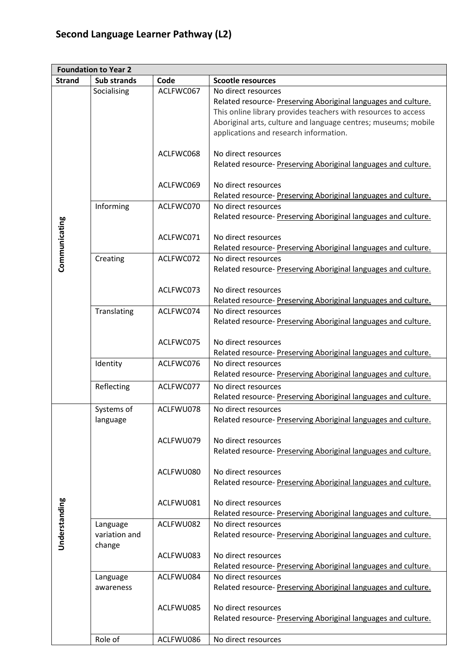## **Second Language Learner Pathway (L2)**

| <b>Foundation to Year 2</b> |                    |           |                                                                |
|-----------------------------|--------------------|-----------|----------------------------------------------------------------|
| <b>Strand</b>               | <b>Sub strands</b> | Code      | <b>Scootle resources</b>                                       |
|                             | Socialising        | ACLFWC067 | No direct resources                                            |
|                             |                    |           | Related resource- Preserving Aboriginal languages and culture. |
|                             |                    |           | This online library provides teachers with resources to access |
|                             |                    |           | Aboriginal arts, culture and language centres; museums; mobile |
|                             |                    |           | applications and research information.                         |
|                             |                    |           |                                                                |
|                             |                    | ACLFWC068 | No direct resources                                            |
|                             |                    |           | Related resource- Preserving Aboriginal languages and culture. |
|                             |                    |           |                                                                |
|                             |                    | ACLFWC069 | No direct resources                                            |
|                             |                    |           | Related resource- Preserving Aboriginal languages and culture. |
|                             | Informing          | ACLFWC070 | No direct resources                                            |
|                             |                    |           | Related resource- Preserving Aboriginal languages and culture. |
|                             |                    |           |                                                                |
|                             |                    | ACLFWC071 | No direct resources                                            |
|                             |                    |           | Related resource- Preserving Aboriginal languages and culture. |
| Communicating               | Creating           | ACLFWC072 | No direct resources                                            |
|                             |                    |           | Related resource- Preserving Aboriginal languages and culture. |
|                             |                    |           |                                                                |
|                             |                    | ACLFWC073 | No direct resources                                            |
|                             |                    |           | Related resource- Preserving Aboriginal languages and culture. |
|                             | Translating        | ACLFWC074 | No direct resources                                            |
|                             |                    |           | Related resource- Preserving Aboriginal languages and culture. |
|                             |                    |           |                                                                |
|                             |                    | ACLFWC075 | No direct resources                                            |
|                             |                    |           | Related resource- Preserving Aboriginal languages and culture. |
|                             | Identity           | ACLFWC076 | No direct resources                                            |
|                             |                    |           | Related resource- Preserving Aboriginal languages and culture. |
|                             |                    |           |                                                                |
|                             | Reflecting         | ACLFWC077 | No direct resources                                            |
|                             |                    |           | Related resource- Preserving Aboriginal languages and culture. |
|                             | Systems of         | ACLFWU078 | No direct resources                                            |
|                             | language           |           | Related resource- Preserving Aboriginal languages and culture. |
|                             |                    |           |                                                                |
|                             |                    | ACLFWU079 | No direct resources                                            |
|                             |                    |           | Related resource- Preserving Aboriginal languages and culture. |
|                             |                    |           |                                                                |
|                             |                    | ACLFWU080 | No direct resources                                            |
|                             |                    |           | Related resource- Preserving Aboriginal languages and culture. |
|                             |                    |           |                                                                |
|                             |                    | ACLFWU081 | No direct resources                                            |
| Understanding               |                    |           | Related resource- Preserving Aboriginal languages and culture. |
|                             | Language           | ACLFWU082 | No direct resources                                            |
|                             | variation and      |           | Related resource- Preserving Aboriginal languages and culture. |
|                             | change             |           |                                                                |
|                             |                    | ACLFWU083 | No direct resources                                            |
|                             |                    |           | Related resource- Preserving Aboriginal languages and culture. |
|                             | Language           | ACLFWU084 | No direct resources                                            |
|                             | awareness          |           | Related resource- Preserving Aboriginal languages and culture. |
|                             |                    |           |                                                                |
|                             |                    | ACLFWU085 | No direct resources                                            |
|                             |                    |           | Related resource- Preserving Aboriginal languages and culture. |
|                             |                    |           |                                                                |
|                             | Role of            | ACLFWU086 | No direct resources                                            |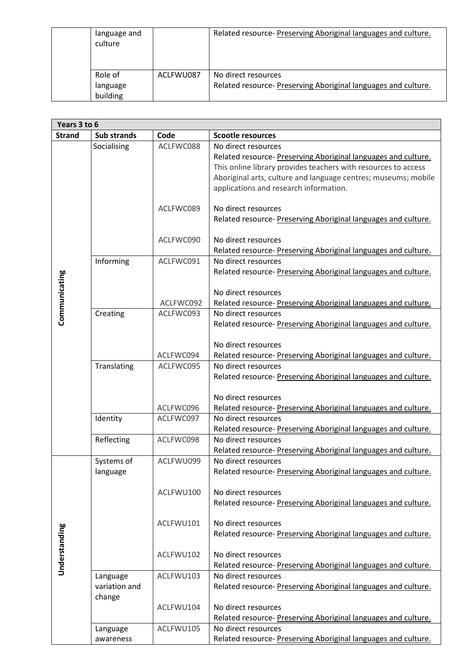| language and<br>culture |           | Related resource- Preserving Aboriginal languages and culture. |
|-------------------------|-----------|----------------------------------------------------------------|
| Role of                 | ACLFWU087 | No direct resources                                            |
| language                |           | Related resource- Preserving Aboriginal languages and culture. |
| building                |           |                                                                |

| Years 3 to 6  |                                     |           |                                                                                                                                                                                                                                                                     |
|---------------|-------------------------------------|-----------|---------------------------------------------------------------------------------------------------------------------------------------------------------------------------------------------------------------------------------------------------------------------|
| <b>Strand</b> | Sub strands                         | Code      | <b>Scootle resources</b>                                                                                                                                                                                                                                            |
|               | Socialising                         | ACLFWC088 | No direct resources<br>Related resource- Preserving Aboriginal languages and culture.<br>This online library provides teachers with resources to access<br>Aboriginal arts, culture and language centres; museums; mobile<br>applications and research information. |
|               |                                     | ACLFWC089 | No direct resources<br>Related resource- Preserving Aboriginal languages and culture.                                                                                                                                                                               |
|               |                                     | ACLFWC090 | No direct resources<br>Related resource- Preserving Aboriginal languages and culture.                                                                                                                                                                               |
|               | Informing                           | ACLFWC091 | No direct resources<br>Related resource- Preserving Aboriginal languages and culture.                                                                                                                                                                               |
| Communicating |                                     | ACLFWC092 | No direct resources<br>Related resource- Preserving Aboriginal languages and culture.                                                                                                                                                                               |
|               | Creating                            | ACLFWC093 | No direct resources<br>Related resource- Preserving Aboriginal languages and culture.                                                                                                                                                                               |
|               |                                     | ACLFWC094 | No direct resources<br>Related resource- Preserving Aboriginal languages and culture.                                                                                                                                                                               |
|               | Translating                         | ACLFWC095 | No direct resources<br>Related resource- Preserving Aboriginal languages and culture.                                                                                                                                                                               |
|               |                                     | ACLFWC096 | No direct resources<br>Related resource- Preserving Aboriginal languages and culture.                                                                                                                                                                               |
|               | Identity                            | ACLFWC097 | No direct resources<br>Related resource- Preserving Aboriginal languages and culture.                                                                                                                                                                               |
|               | Reflecting                          | ACLFWC098 | No direct resources<br>Related resource- Preserving Aboriginal languages and culture.                                                                                                                                                                               |
| Understanding | Systems of<br>language              | ACLFWU099 | No direct resources<br>Related resource- Preserving Aboriginal languages and culture.                                                                                                                                                                               |
|               |                                     | ACLFWU100 | No direct resources<br>Related resource-Preserving Aboriginal languages and culture.                                                                                                                                                                                |
|               |                                     | ACLFWU101 | No direct resources<br>Related resource- Preserving Aboriginal languages and culture.                                                                                                                                                                               |
|               |                                     | ACLFWU102 | No direct resources<br>Related resource- Preserving Aboriginal languages and culture.                                                                                                                                                                               |
|               | Language<br>variation and<br>change | ACLFWU103 | No direct resources<br>Related resource- Preserving Aboriginal languages and culture.                                                                                                                                                                               |
|               |                                     | ACLFWU104 | No direct resources<br>Related resource- Preserving Aboriginal languages and culture.                                                                                                                                                                               |
|               | Language<br>awareness               | ACLFWU105 | No direct resources<br>Related resource- Preserving Aboriginal languages and culture.                                                                                                                                                                               |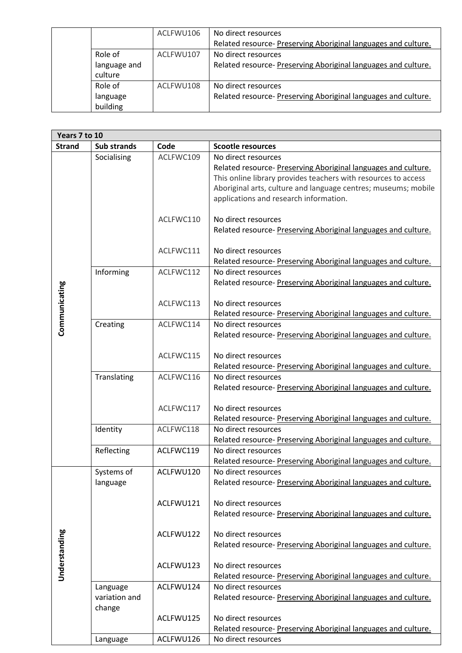|              | ACLFWU106 | No direct resources                                            |
|--------------|-----------|----------------------------------------------------------------|
|              |           | Related resource-Preserving Aboriginal languages and culture.  |
| Role of      | ACLFWU107 | No direct resources                                            |
| language and |           | Related resource- Preserving Aboriginal languages and culture. |
| culture      |           |                                                                |
| Role of      | ACLFWU108 | No direct resources                                            |
| language     |           | Related resource- Preserving Aboriginal languages and culture. |
| building     |           |                                                                |

| Years 7 to 10 |                    |           |                                                                |
|---------------|--------------------|-----------|----------------------------------------------------------------|
| <b>Strand</b> | <b>Sub strands</b> | Code      | <b>Scootle resources</b>                                       |
|               | Socialising        | ACLFWC109 | No direct resources                                            |
|               |                    |           | Related resource- Preserving Aboriginal languages and culture. |
|               |                    |           | This online library provides teachers with resources to access |
|               |                    |           | Aboriginal arts, culture and language centres; museums; mobile |
|               |                    |           | applications and research information.                         |
|               |                    |           |                                                                |
|               |                    | ACLFWC110 | No direct resources                                            |
|               |                    |           | Related resource- Preserving Aboriginal languages and culture. |
|               |                    | ACLFWC111 | No direct resources                                            |
|               |                    |           | Related resource- Preserving Aboriginal languages and culture. |
|               | Informing          | ACLFWC112 | No direct resources                                            |
|               |                    |           | Related resource- Preserving Aboriginal languages and culture. |
|               |                    |           |                                                                |
| Communicating |                    | ACLFWC113 | No direct resources                                            |
|               |                    |           | Related resource- Preserving Aboriginal languages and culture. |
|               | Creating           | ACLFWC114 | No direct resources                                            |
|               |                    |           | Related resource- Preserving Aboriginal languages and culture. |
|               |                    |           |                                                                |
|               |                    | ACLFWC115 | No direct resources                                            |
|               |                    |           | Related resource- Preserving Aboriginal languages and culture. |
|               | Translating        | ACLFWC116 | No direct resources                                            |
|               |                    |           | Related resource- Preserving Aboriginal languages and culture. |
|               |                    |           |                                                                |
|               |                    | ACLFWC117 | No direct resources                                            |
|               |                    |           | Related resource- Preserving Aboriginal languages and culture. |
|               | Identity           | ACLFWC118 | No direct resources                                            |
|               |                    |           | Related resource- Preserving Aboriginal languages and culture. |
|               | Reflecting         | ACLFWC119 | No direct resources                                            |
|               |                    |           | Related resource- Preserving Aboriginal languages and culture. |
|               | Systems of         | ACLFWU120 | No direct resources                                            |
|               | language           |           | Related resource- Preserving Aboriginal languages and culture. |
|               |                    | ACLFWU121 | No direct resources                                            |
|               |                    |           | Related resource- Preserving Aboriginal languages and culture. |
|               |                    |           |                                                                |
|               |                    | ACLFWU122 | No direct resources                                            |
|               |                    |           | Related resource- Preserving Aboriginal languages and culture. |
| Understanding |                    |           |                                                                |
|               |                    | ACLFWU123 | No direct resources                                            |
|               |                    |           | Related resource- Preserving Aboriginal languages and culture. |
|               | Language           | ACLFWU124 | No direct resources                                            |
|               | variation and      |           | Related resource- Preserving Aboriginal languages and culture. |
|               | change             |           |                                                                |
|               |                    | ACLFWU125 | No direct resources                                            |
|               |                    |           | Related resource- Preserving Aboriginal languages and culture. |
|               | Language           | ACLFWU126 | No direct resources                                            |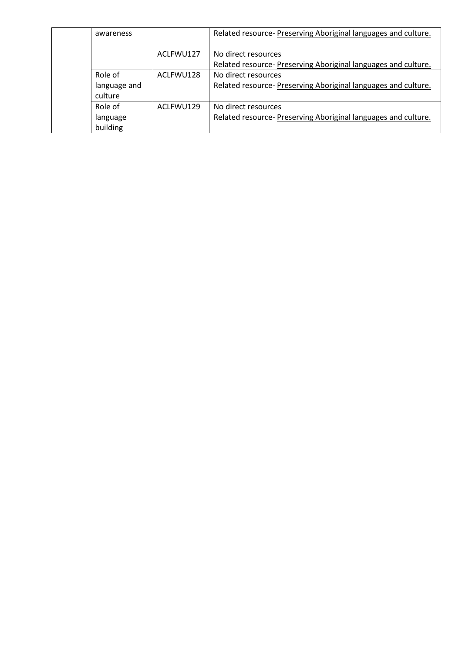| awareness    |           | Related resource- Preserving Aboriginal languages and culture.                       |
|--------------|-----------|--------------------------------------------------------------------------------------|
|              | ACLFWU127 | No direct resources<br>Related resource-Preserving Aboriginal languages and culture. |
| Role of      | ACLFWU128 | No direct resources                                                                  |
| language and |           | Related resource- Preserving Aboriginal languages and culture.                       |
| culture      |           |                                                                                      |
| Role of      | ACLFWU129 | No direct resources                                                                  |
| language     |           | Related resource- Preserving Aboriginal languages and culture.                       |
| building     |           |                                                                                      |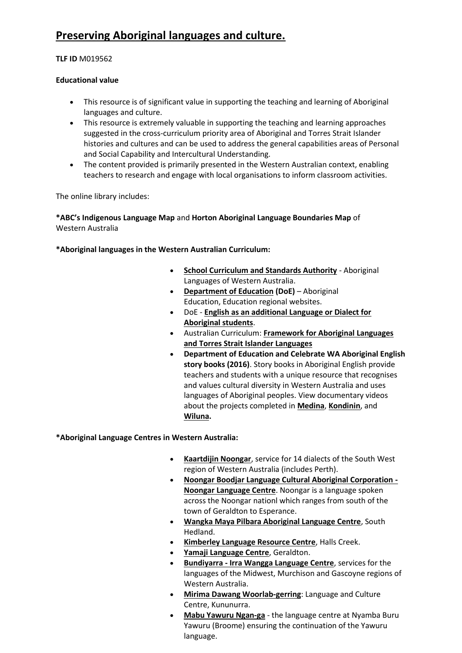### **[Preserving Aboriginal languages and culture.](https://www.scootle.edu.au/ec/resolve/view/M019562?accContentId=ACLFWC067)**

#### **TLF ID** M019562

#### **Educational value**

- This resource is of significant value in supporting the teaching and learning of Aboriginal languages and culture.
- This resource is extremely valuable in supporting the teaching and learning approaches suggested in the cross-curriculum priority area of Aboriginal and Torres Strait Islander histories and cultures and can be used to address the general capabilities areas of Personal and Social Capability and Intercultural Understanding.
- The content provided is primarily presented in the Western Australian context, enabling teachers to research and engage with local organisations to inform classroom activities.

The online library includes:

**\*ABC's [Indigenous Language Map](http://www.abc.net.au/indigenous/map/)** and **[Horton Aboriginal Language Boundaries Map](http://www.noongarculture.org.au/language/?searched=yes)** of [Western Australia](http://www.noongarculture.org.au/language/?searched=yes)

**\*Aboriginal languages in the Western Australian Curriculum:**

- **[School Curriculum and Standards Authority](http://wace1516.scsa.wa.edu.au/syllabus-and-support-materials/languages/aboriginal-languages-of-wa)** Aboriginal Languages of Western Australia.
- **[Department of Education](http://www.det.wa.edu.au/aboriginaleducation/apac/detcms/navigation/regional-websites/) (DoE)** Aboriginal Education, Education regional websites.
- DoE **[English as an additional Language or Dialect for](http://www.det.wa.edu.au/curriculumsupport/eald/detcms/portal/)  [Aboriginal students](http://www.det.wa.edu.au/curriculumsupport/eald/detcms/portal/)**.
- Australian Curriculum: **[Framework for Aboriginal Languages](http://www.australiancurriculum.edu.au/languages/framework-for-aboriginal-languages-and-torres-strait-islander-languages/rationale)  [and Torres Strait Islander Languages](http://www.australiancurriculum.edu.au/languages/framework-for-aboriginal-languages-and-torres-strait-islander-languages/rationale)**
- **Department of Education and Celebrate WA Aboriginal English story books (2016)**. Story books in Aboriginal English provide teachers and students with a unique resource that recognises and values cultural diversity in Western Australia and uses languages of Aboriginal peoples. View documentary videos about the projects completed in **[Medina](https://www.youtube.com/watch?v=nqT-J3nslRE)**, **[Kondinin](https://www.youtube.com/watch?v=2a2E695JTe8)**, and **[Wiluna.](https://www.youtube.com/watch?v=8VbZw21v0Tk)**

**\*Aboriginal Language Centres in Western Australia:**

- **[Kaartdijin Noongar](http://www.noongarculture.org.au/language/?searched=yes)**, service for 14 dialects of the South West region of Western Australia (includes Perth).
- **[Noongar Boodjar Language Cultural Aboriginal Corporation -](http://noongarboodjar.com.au/) [Noongar Language Centre](http://noongarboodjar.com.au/)**. Noongar is a language spoken across the Noongar nationl which ranges from south of the town of Geraldton to Esperance.
- **[Wangka Maya Pilbara Aboriginal Language Centre](http://www.wangkamaya.org.au/news)**, South Hedland.
- **[Kimberley Language Resource Centre](http://www.klrc.org.au/)**, Halls Creek.
- **[Yamaji Language Centre](http://ymac.org.au/tag/yamaji-language-centre/)**, Geraldton.
- **Bundiyarra - [Irra Wangga Language Centre](http://www.bundiyarra.org.au/index.php?page=irra_wangga_language_centre)**, services for the languages of the Midwest, Murchison and Gascoyne regions of Western Australia.
- **[Mirima Dawang Woorlab-gerring](http://www.mirima.org.au/)**: Language and Culture Centre, Kununurra.
- **[Mabu Yawuru Ngan-ga](http://www.yawuru.com/language-centre/)** the language centre at Nyamba Buru Yawuru (Broome) ensuring the continuation of the Yawuru language.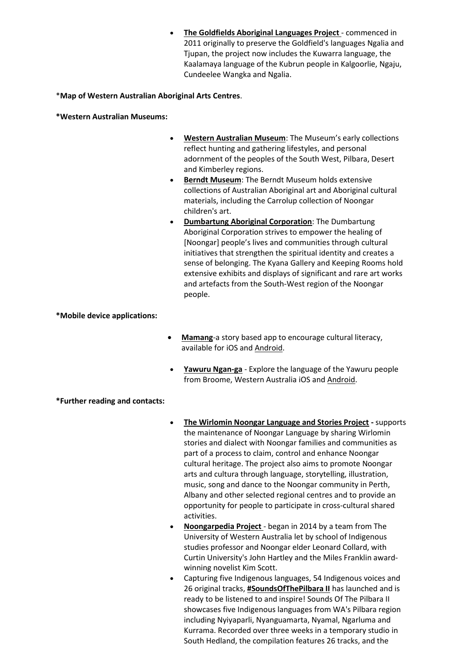**[The Goldfields Aboriginal Languages Project](http://wangka.com.au/index.php)** - commenced in 2011 originally to preserve the Goldfield's languages Ngalia and Tjupan, the project now includes the Kuwarra language, the Kaalamaya language of the Kubrun people in Kalgoorlie, Ngaju, Cundeelee Wangka and Ngalia.

\***[Map of Western Australian Aboriginal Arts Centres](http://www.artsedge.dca.wa.gov.au/Documents/ASIA%20Literacy%20Portal/1389_CAWA_ACCHWA_Map(1500x1900)_FINAL.pdf)**.

**\*Western Australian Museums:** 

- **[Western Australian Museum](http://museum.wa.gov.au/research/collections/anthropology-and-archaeology)**: The Museum's early collections reflect hunting and gathering lifestyles, and personal adornment of the peoples of the South West, Pilbara, Desert and Kimberley regions.
- **[Berndt Museum](http://www.culturalprecinct.uwa.edu.au/venues/berndt-museum?token_value=servOtherices&menu=6)**: The Berndt Museum holds extensive collections of Australian Aboriginal art and Aboriginal cultural materials, including the Carrolup collection of Noongar children's art.
- **[Dumbartung Aboriginal Corporation](http://www.dumbartungaboriginalcorporation.org/index.html)**: The Dumbartung Aboriginal Corporation strives to empower the healing of [Noongar] people's lives and communities through cultural initiatives that strengthen the spiritual identity and creates a sense of belonging. The Kyana Gallery and Keeping Rooms hold extensive exhibits and displays of significant and rare art works and artefacts from the South-West region of the Noongar people.

**\*Mobile device applications:**

- **[Mamang](https://itunes.apple.com/WebObjects/MZStore.woa/wa/viewSoftware?id=951598216&mt=8)**-a story based app to encourage cultural literacy, available for iOS and [Android.](https://play.google.com/store/apps/details?id=org.writingwa.mamang)
- **[Yawuru Ngan-ga](https://itunes.apple.com/au/app/yawuru-ngan-ga/id937162422?mt=8)** Explore the language of the Yawuru people from Broome, Western Australia iOS an[d Android.](https://play.google.com/store/apps/details?id=org.jila.yawuru&hl=en)

**\*Further reading and contacts:**

- **[The Wirlomin Noongar Language and Stories Project](http://wirlomin.com.au/) -** supports the maintenance of Noongar Language by sharing Wirlomin stories and dialect with Noongar families and communities as part of a process to claim, control and enhance Noongar cultural heritage. The project also aims to promote Noongar arts and cultura through language, storytelling, illustration, music, song and dance to the Noongar community in Perth, Albany and other selected regional centres and to provide an opportunity for people to participate in cross-cultural shared activities.
- **[Noongarpedia Project](https://incubator.wikimedia.org/wiki/Wp/nys/Main_Page)**  began in 2014 by a team from The University of Western Australia let by school of Indigenous studies professor and Noongar elder Leonard Collard, with Curtin University's John Hartley and the Miles Franklin awardwinning novelist Kim Scott.
- Capturing five Indigenous languages, 54 Indigenous voices and 26 original tracks, **[#SoundsOfThePilbara II](https://soundcloud.com/musicwa/sets/sounds-of-the-pilbara-ii-songs-in-language)** has launched and is ready to be listened to and inspire! Sounds Of The Pilbara II showcases five Indigenous languages from WA's Pilbara region including Nyiyaparli, Nyanguamarta, Nyamal, Ngarluma and Kurrama. Recorded over three weeks in a temporary studio in South Hedland, the compilation features 26 tracks, and the